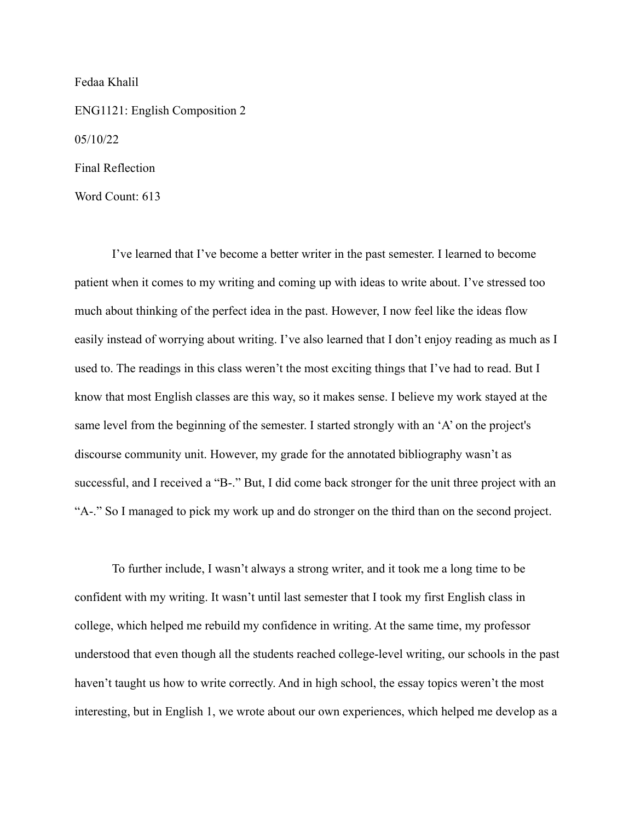Fedaa Khalil

ENG1121: English Composition 2 05/10/22 Final Reflection

Word Count: 613

I've learned that I've become a better writer in the past semester. I learned to become patient when it comes to my writing and coming up with ideas to write about. I've stressed too much about thinking of the perfect idea in the past. However, I now feel like the ideas flow easily instead of worrying about writing. I've also learned that I don't enjoy reading as much as I used to. The readings in this class weren't the most exciting things that I've had to read. But I know that most English classes are this way, so it makes sense. I believe my work stayed at the same level from the beginning of the semester. I started strongly with an 'A' on the project's discourse community unit. However, my grade for the annotated bibliography wasn't as successful, and I received a "B-." But, I did come back stronger for the unit three project with an "A-." So I managed to pick my work up and do stronger on the third than on the second project.

To further include, I wasn't always a strong writer, and it took me a long time to be confident with my writing. It wasn't until last semester that I took my first English class in college, which helped me rebuild my confidence in writing. At the same time, my professor understood that even though all the students reached college-level writing, our schools in the past haven't taught us how to write correctly. And in high school, the essay topics weren't the most interesting, but in English 1, we wrote about our own experiences, which helped me develop as a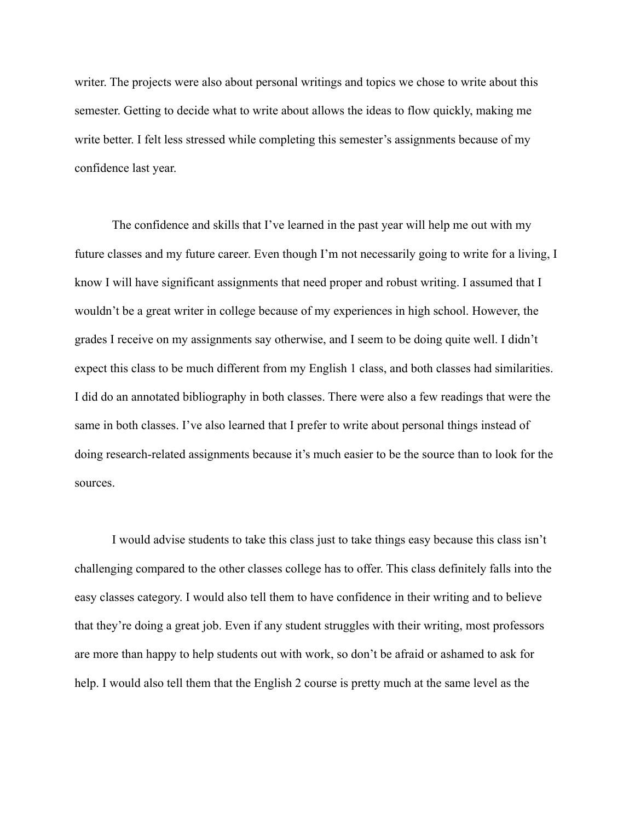writer. The projects were also about personal writings and topics we chose to write about this semester. Getting to decide what to write about allows the ideas to flow quickly, making me write better. I felt less stressed while completing this semester's assignments because of my confidence last year.

The confidence and skills that I've learned in the past year will help me out with my future classes and my future career. Even though I'm not necessarily going to write for a living, I know I will have significant assignments that need proper and robust writing. I assumed that I wouldn't be a great writer in college because of my experiences in high school. However, the grades I receive on my assignments say otherwise, and I seem to be doing quite well. I didn't expect this class to be much different from my English 1 class, and both classes had similarities. I did do an annotated bibliography in both classes. There were also a few readings that were the same in both classes. I've also learned that I prefer to write about personal things instead of doing research-related assignments because it's much easier to be the source than to look for the sources.

I would advise students to take this class just to take things easy because this class isn't challenging compared to the other classes college has to offer. This class definitely falls into the easy classes category. I would also tell them to have confidence in their writing and to believe that they're doing a great job. Even if any student struggles with their writing, most professors are more than happy to help students out with work, so don't be afraid or ashamed to ask for help. I would also tell them that the English 2 course is pretty much at the same level as the